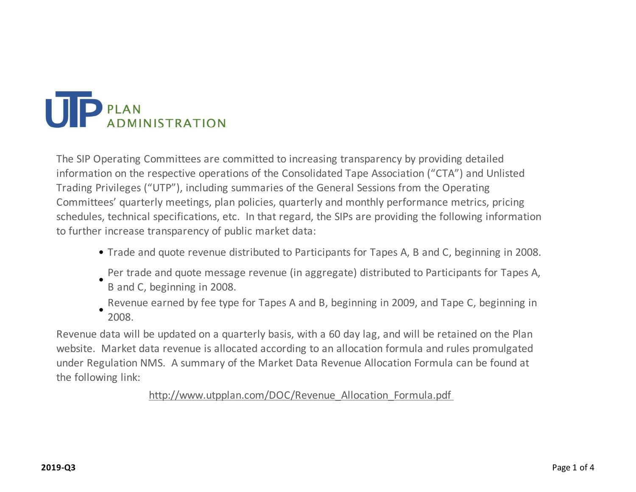

The SIP Operating Committees are committed to increasing transparency by providing detailed information on the respective operations of the Consolidated Tape Association ("CTA") and Unlisted Trading Privileges ("UTP"), including summaries of the General Sessions from the Operating Committees' quarterly meetings, plan policies, quarterly and monthly performance metrics, pricing schedules, technical specifications, etc. In that regard, the SIPs are providing the following information to further increase transparency of public market data:

- Trade and quote revenue distributed to Participants for Tapes A, B and C, beginning in 2008.
- Per trade and quote message revenue (in aggregate) distributed to Participants for Tapes A,
- B and C, beginning in 2008.
- Revenue earned by fee type for Tapes A and B, beginning in 2009, and Tape C, beginning in
- 2008.

Revenue data will be updated on a quarterly basis, with a 60 day lag, and will be retained on the Plan website. Market data revenue is allocated according to an allocation formula and rules promulgated under Regulation NMS. A summary of the Market Data Revenue Allocation Formula can be found at the following link:

http://www.utpplan.com/DOC/Revenue\_Allocation\_Formula.pdf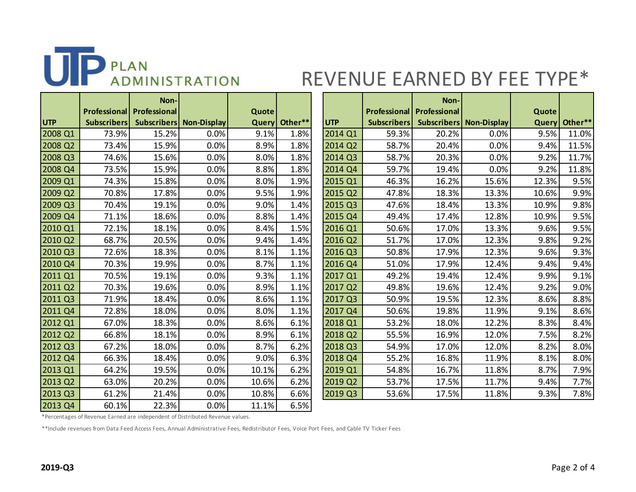

## REVENUE EARNED BY FEE TYPE\*

|                     |                    | Non-                             |                                |       |               |            |                    | Non-                               |                                |              |         |
|---------------------|--------------------|----------------------------------|--------------------------------|-------|---------------|------------|--------------------|------------------------------------|--------------------------------|--------------|---------|
|                     |                    | <b>Professional Professional</b> |                                | Quote |               |            |                    | <b>Professional   Professional</b> |                                | Quote        |         |
| <b>UTP</b>          | <b>Subscribers</b> |                                  | <b>Subscribers Non-Display</b> |       | Query Other** | <b>UTP</b> | <b>Subscribers</b> |                                    | <b>Subscribers Non-Display</b> | <b>Query</b> | Other** |
| 2008 Q1             | 73.9%              | 15.2%                            | 0.0%                           | 9.1%  | 1.8%          | 2014 Q1    | 59.3%              | 20.2%                              | 0.0%                           | 9.5%         | 11.0%   |
| 2008 Q2             | 73.4%              | 15.9%                            | 0.0%                           | 8.9%  | 1.8%          | 2014 Q2    | 58.7%              | 20.4%                              | 0.0%                           | 9.4%         | 11.5%   |
| 2008 Q3             | 74.6%              | 15.6%                            | 0.0%                           | 8.0%  | 1.8%          | 2014 Q3    | 58.7%              | 20.3%                              | 0.0%                           | 9.2%         | 11.7%   |
| 2008 Q4             | 73.5%              | 15.9%                            | 0.0%                           | 8.8%  | 1.8%          | 2014 Q4    | 59.7%              | 19.4%                              | 0.0%                           | 9.2%         | 11.8%   |
| 2009 Q1             | 74.3%              | 15.8%                            | 0.0%                           | 8.0%  | 1.9%          | 2015 Q1    | 46.3%              | 16.2%                              | 15.6%                          | 12.3%        | 9.5%    |
| 2009 Q2             | 70.8%              | 17.8%                            | 0.0%                           | 9.5%  | 1.9%          | 2015 Q2    | 47.8%              | 18.3%                              | 13.3%                          | 10.6%        | 9.9%    |
| 2009 Q3             | 70.4%              | 19.1%                            | 0.0%                           | 9.0%  | 1.4%          | 2015 Q3    | 47.6%              | 18.4%                              | 13.3%                          | 10.9%        | 9.8%    |
| 2009 Q4             | 71.1%              | 18.6%                            | 0.0%                           | 8.8%  | 1.4%          | 2015 Q4    | 49.4%              | 17.4%                              | 12.8%                          | 10.9%        | 9.5%    |
| 2010 Q1             | 72.1%              | 18.1%                            | 0.0%                           | 8.4%  | 1.5%          | 2016 Q1    | 50.6%              | 17.0%                              | 13.3%                          | 9.6%         | 9.5%    |
| 2010 Q2             | 68.7%              | 20.5%                            | 0.0%                           | 9.4%  | 1.4%          | 2016 Q2    | 51.7%              | 17.0%                              | 12.3%                          | 9.8%         | 9.2%    |
| 2010 Q3             | 72.6%              | 18.3%                            | 0.0%                           | 8.1%  | 1.1%          | 2016 Q3    | 50.8%              | 17.9%                              | 12.3%                          | 9.6%         | 9.3%    |
| 2010 Q4             | 70.3%              | 19.9%                            | 0.0%                           | 8.7%  | 1.1%          | 2016 Q4    | 51.0%              | 17.9%                              | 12.4%                          | 9.4%         | 9.4%    |
| 2011 Q1             | 70.5%              | 19.1%                            | 0.0%                           | 9.3%  | 1.1%          | 2017 Q1    | 49.2%              | 19.4%                              | 12.4%                          | 9.9%         | 9.1%    |
| 2011 Q2             | 70.3%              | 19.6%                            | 0.0%                           | 8.9%  | 1.1%          | 2017 Q2    | 49.8%              | 19.6%                              | 12.4%                          | 9.2%         | 9.0%    |
| 2011 Q3             | 71.9%              | 18.4%                            | 0.0%                           | 8.6%  | 1.1%          | 2017 Q3    | 50.9%              | 19.5%                              | 12.3%                          | 8.6%         | 8.8%    |
| 2011 Q4             | 72.8%              | 18.0%                            | 0.0%                           | 8.0%  | 1.1%          | 2017 Q4    | 50.6%              | 19.8%                              | 11.9%                          | 9.1%         | 8.6%    |
| 2012 Q1             | 67.0%              | 18.3%                            | 0.0%                           | 8.6%  | 6.1%          | 2018 Q1    | 53.2%              | 18.0%                              | 12.2%                          | 8.3%         | 8.4%    |
| 2012 Q <sub>2</sub> | 66.8%              | 18.1%                            | 0.0%                           | 8.9%  | 6.1%          | 2018 Q2    | 55.5%              | 16.9%                              | 12.0%                          | 7.5%         | 8.2%    |
| 2012 Q3             | 67.2%              | 18.0%                            | 0.0%                           | 8.7%  | 6.2%          | 2018 Q3    | 54.9%              | 17.0%                              | 12.0%                          | 8.2%         | 8.0%    |
| 2012 Q4             | 66.3%              | 18.4%                            | 0.0%                           | 9.0%  | 6.3%          | 2018 Q4    | 55.2%              | 16.8%                              | 11.9%                          | 8.1%         | 8.0%    |
| 2013 Q1             | 64.2%              | 19.5%                            | 0.0%                           | 10.1% | 6.2%          | 2019 Q1    | 54.8%              | 16.7%                              | 11.8%                          | 8.7%         | 7.9%    |
| 2013 Q <sub>2</sub> | 63.0%              | 20.2%                            | 0.0%                           | 10.6% | 6.2%          | 2019 Q2    | 53.7%              | 17.5%                              | 11.7%                          | 9.4%         | 7.7%    |
| 2013 Q3             | 61.2%              | 21.4%                            | 0.0%                           | 10.8% | 6.6%          | 2019 Q3    | 53.6%              | 17.5%                              | 11.8%                          | 9.3%         | 7.8%    |
| 2013 Q4             | 60.1%              | 22.3%                            | 0.0%                           | 11.1% | 6.5%          |            |                    |                                    |                                |              |         |

|            |                     | Non-               |                    |       |         |
|------------|---------------------|--------------------|--------------------|-------|---------|
|            | <b>Professional</b> | Professional       |                    | Quote |         |
| <b>UTP</b> | <b>Subscribers</b>  | <b>Subscribers</b> | <b>Non-Display</b> | Query | Other** |
| 2014 Q1    | 59.3%               | 20.2%              | 0.0%               | 9.5%  | 11.0%   |
| 2014 Q2    | 58.7%               | 20.4%              | 0.0%               | 9.4%  | 11.5%   |
| 2014 Q3    | 58.7%               | 20.3%              | 0.0%               | 9.2%  | 11.7%   |
| 2014 Q4    | 59.7%               | 19.4%              | 0.0%               | 9.2%  | 11.8%   |
| 2015 Q1    | 46.3%               | 16.2%              | 15.6%              | 12.3% | 9.5%    |
| 2015 Q2    | 47.8%               | 18.3%              | 13.3%              | 10.6% | 9.9%    |
| 2015 Q3    | 47.6%               | 18.4%              | 13.3%              | 10.9% | 9.8%    |
| 2015 Q4    | 49.4%               | 17.4%              | 12.8%              | 10.9% | 9.5%    |
| 2016 Q1    | 50.6%               | 17.0%              | 13.3%              | 9.6%  | 9.5%    |
| 2016 Q2    | 51.7%               | 17.0%              | 12.3%              | 9.8%  | 9.2%    |
| 2016 Q3    | 50.8%               | 17.9%              | 12.3%              | 9.6%  | 9.3%    |
| 2016 Q4    | 51.0%               | 17.9%              | 12.4%              | 9.4%  | 9.4%    |
| 2017 Q1    | 49.2%               | 19.4%              | 12.4%              | 9.9%  | 9.1%    |
| 2017 Q2    | 49.8%               | 19.6%              | 12.4%              | 9.2%  | 9.0%    |
| 2017 Q3    | 50.9%               | 19.5%              | 12.3%              | 8.6%  | 8.8%    |
| 2017 Q4    | 50.6%               | 19.8%              | 11.9%              | 9.1%  | 8.6%    |
| 2018 Q1    | 53.2%               | 18.0%              | 12.2%              | 8.3%  | 8.4%    |
| 2018 Q2    | 55.5%               | 16.9%              | 12.0%              | 7.5%  | 8.2%    |
| 2018 Q3    | 54.9%               | 17.0%              | 12.0%              | 8.2%  | 8.0%    |
| 2018 Q4    | 55.2%               | 16.8%              | 11.9%              | 8.1%  | 8.0%    |
| 2019 Q1    | 54.8%               | 16.7%              | 11.8%              | 8.7%  | 7.9%    |
| 2019 Q2    | 53.7%               | 17.5%              | 11.7%              | 9.4%  | 7.7%    |
| 2019 Q3    | 53.6%               | 17.5%              | 11.8%              | 9.3%  | 7.8%    |

\*Percentages of Revenue Earned are independent of Distributed Revenue values.

\*\*Include revenues from Data Feed Access Fees, Annual Administrative Fees, Redistributor Fees, Voice Port Fees, and Cable TV Ticker Fees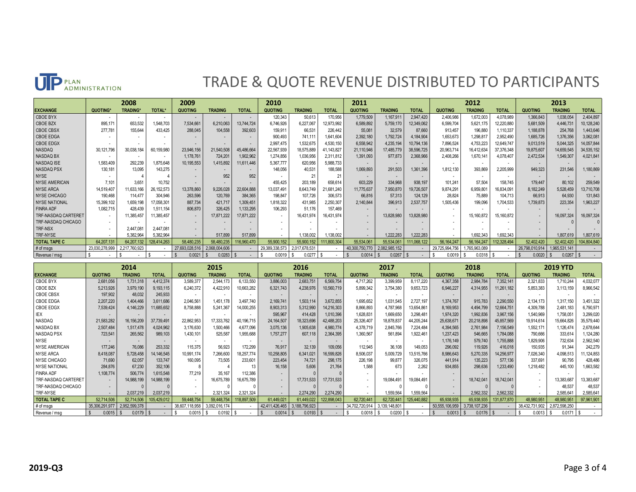## TRADE & QUOTE REVENUE DISTRIBUTED TO PARTICIPANTS

|                      | 2008           |                |               | 2009           |                |                          | 2010           |                |              | 2011                     |                |              |                | 2012           |                          | 2013           |                |              |
|----------------------|----------------|----------------|---------------|----------------|----------------|--------------------------|----------------|----------------|--------------|--------------------------|----------------|--------------|----------------|----------------|--------------------------|----------------|----------------|--------------|
| <b>EXCHANGE</b>      | <b>QUOTING</b> | <b>TRADING</b> | <b>TOTAL*</b> | <b>QUOTING</b> | <b>TRADING</b> | <b>TOTAL</b>             | <b>QUOTING</b> | <b>TRADING</b> | <b>TOTAL</b> | <b>QUOTING</b>           | <b>TRADING</b> | <b>TOTAL</b> | <b>QUOTING</b> | <b>TRADING</b> | <b>TOTAL</b>             | <b>QUOTING</b> | <b>TRADING</b> | <b>TOTAL</b> |
| <b>CBOE BYX</b>      |                |                |               |                |                | $\overline{\phantom{a}}$ | 120,343        | 50,613         | 170,956      | 1,779,509                | 1,167,911      | 2,947,420    | 2,406,986      | 1,672,003      | 4,078,989                | 1,366,843      | 1,038,054      | 2,404,897    |
| CBOE BZX             | 895,171        | 653,532        | .548,703      | 7,534,661      | 6,210,063      | 13,744,724               | 6,746,926      | 6,227,067      | 12,973,992   | 6,589,892                | 5,759,170      | 12,349,062   | 6,599,704      | 5,621,175      | 12,220,880               | 5,681,509      | 4,446,731      | 10,128,240   |
| <b>CBOE CBSX</b>     | 277,781        | 155.644        | 433,425       | 288,045        | 104,558        | 392,603                  | 159,91         | 66,531         | 226,442      | 55,081                   | 32,579         | 87,660       | 913,457        | 196,880        | 1,110,337                | 1,188,878      | 254,768        | 1,443,646    |
| <b>CBOE EDGA</b>     |                |                |               |                |                | $\overline{a}$           | 900,493        | 741,11         | 1,641,604    | 2,392,180                | 1,792,724      | 4,184,904    | 1,653,673      | 1,298,817      | 2,952,490                | 1,685,726      | 1,376,356      | 3,062,081    |
| <b>CBOE EDGX</b>     |                |                |               |                |                |                          | 2,997,475      | 1,532,675      | 4,530,150    | 6,558,942                | 4,235,194      | 10,794,136   | 7,896,524      | 4,753,223      | 12,649,747               | 9,013,519      | 5,044,325      | 14,057,844   |
| NASDAQ               | 30,121,796     | 30,038,184     | 60,159,980    | 23,946,156     | 21,540,508     | 45,486,664               | 22,567,939     | 18,575,889     | 41, 143, 827 | 21,110,946               | 17,485,779     | 38,596,725   | 20,963,714     | 16,412,634     | 37,376,348               | 19,875,607     | 14,659,545     | 34,535,152   |
| NASDAQ BX            |                |                | $\sim$        | 1,178,761      | 724,201        | 1,902,962                | 1,274,856      | 1,036,956      | 2,311,812    | 1,391,093                | 977,873        | 2,368,966    | 2,408,266      | 1,670,141      | 4,078,407                | 2,472,534      | 1,549,307      | 4,021,841    |
| NASDAQ ISE           | 1,583,409      | 292,239        | 875,648       | 10,195,553     | 1,415,892      | 11,611,446               | 5,367,777      | 620,956        | 5,988,733    | $\overline{\phantom{a}}$ |                |              |                |                | $\overline{\phantom{a}}$ | $\overline{a}$ | $\sim$         |              |
| NASDAQ PSX           | 130,181        | 13,095         | 143.275       | $\sim$         | $\sim$         | $\sim$                   | 148,056        | 40,531         | 188,588      | 1,069,893                | 291,503        | 1,361,396    | 1,812,130      | 393,869        | 2,205,999                | 949,323        | 231,546        | ,180,869     |
| <b>NYSE</b>          |                |                |               |                | 952            | 952                      |                | $2^{\circ}$    | 21           |                          |                |              |                |                | $\overline{\phantom{a}}$ | $\overline{a}$ | $\sim$         |              |
| <b>NYSE AMERICAN</b> | 7,101          | 3.651          | 10.752        | $\sim$         |                |                          | 455,425        | 203,189        | 658,614      | 603,229                  | 334,968        | 938,197      | 101,241        | 57.504         | 158,745                  | 179,447        | 80,102         | 259,549      |
| <b>NYSE ARCA</b>     | 14,519,407     | 11,633,166     | 26, 152, 573  | 13,378,860     | 9,226,028      | 22,604,888               | 13,037,491     | 8,643,749      | 21,681,240   | 11,775,637               | 7,950,870      | 19,726,507   | 9,874,291      | 6,959,801      | 16,834,091               | 8,182,249      | 5,528,459      | 13,710,708   |
| NYSE CHICAGO         | 190,468        | 114.47         | 304,946       | 263,596        | 120,769        | 384,365                  | 198,847        | 107,726        | 306,573      | 66,816                   | 57,313         | 124.129      | 28,824         | 75,889         | 104,713                  | 66,913         | 64,930         | 131,843      |
| <b>NYSE NATIONAL</b> | 15,399,102     | 1,659,198      | 7,058,301     | 887,734        | 421,717        | 1,309,451                | 1,818,322      | 431,985        | 2,250,307    | 2,140,844                | 396,913        | 2,537,757    | 1,505,436      | 199,096        | 1,704,533                | 1,739,873      | 223,354        | 1,963,227    |
| <b>FINRA ADF</b>     | 1,082,715      | 428,439        | 1,511,154     | 806,870        | 326,425        | 1,133,295                | 106,293        | 51,176         | 157,469      |                          |                |              |                |                | $\sim$                   | $\sim$         |                |              |
| TRF-NASDAQ CARTERET  | $\sim$         | 11,385,457     | 1,385,457     | $\sim$         | 17,871,222     | 17,871,222               | $\sim$         | 16,431,974     | 16,431,974   | $\overline{\phantom{a}}$ | 13,828,980     | 13,828,980   |                | 15,160,872     | 15,160,872               | $\sim$         | 16,097,324     | 16,097,324   |
| TRF-NASDAQ CHICAGO   |                |                |               |                |                |                          |                |                |              |                          |                |              |                |                |                          |                |                |              |
| <b>TRF-NSX</b>       |                | 2.447.081      | 2.447.081     |                |                |                          |                |                |              |                          |                |              |                |                |                          |                |                |              |
| TRF-NYSE             |                | 5,382,964      | 5,382,964     |                | 517.899        | 517,899                  |                | .138,002       | 138,002      |                          | 1.222.283      | 1.222.283    |                | .692,343       | 1,692,343                |                | 1,807,619      | 1,807,619    |
| <b>TOTAL TAPE C</b>  | 64,207,131     | 64.207.132     | 128,414,263   | 58,480,235     | 58,480,235     | 16,960,470               | 55,900,152     | 55,900,152     | 111,800,304  | 55.534.061               | 55,534,061     | 111.068.122  | 56, 164, 247   | 56.164.247     | 12,328,494               | 52,402,420     | 52,402,420     | 104,804,840  |
| $#$ of msgs          | 23,030,278,999 | 2,217,760,923  |               | 27,693,028,516 | 2,068,004,606  |                          | 29,389,338,573 | 2,017,678,531  |              | 40,300,750,770           | 2,082,985,152  |              | 29,725,994,756 | ,765,963,089   |                          | 26,798,010,914 | 1,965,531,141  |              |
| Revenue / msg        |                |                |               | 0.0021         | 0.0283         |                          | 0.0019         | 0.027          |              | 0.0014                   | 0.0267         |              | 0.0019         | 0.0318         |                          | 0.0020         | 0.0267         |              |

|                      | 2014           |                |              | 2015           |                |                          | 2016           |                          |              | 2017           |                |                          | 2018           |                |                          | <b>2019 YTD</b> |                |              |
|----------------------|----------------|----------------|--------------|----------------|----------------|--------------------------|----------------|--------------------------|--------------|----------------|----------------|--------------------------|----------------|----------------|--------------------------|-----------------|----------------|--------------|
| <b>EXCHANGE</b>      | <b>QUOTING</b> | <b>TRADING</b> | <b>TOTAL</b> | <b>QUOTING</b> | <b>TRADING</b> | <b>TOTAL</b>             | <b>QUOTING</b> | <b>TRADING</b>           | <b>TOTAL</b> | <b>QUOTING</b> | <b>TRADING</b> | <b>TOTAL</b>             | <b>QUOTING</b> | <b>TRADING</b> | <b>TOTAL</b>             | <b>QUOTING</b>  | <b>TRADING</b> | <b>TOTAL</b> |
| <b>CBOE BYX</b>      | 2,681,056      | 1,731,318      | 4,412,374    | 3,589,377      | 2,544,173      | 6,133,550                | 3,886,003      | 2,683,751                | 6,569,754    | 4,717,262      | 3,399,959      | 8,117,220                | 4,367,358      | 2,984,784      | 7,352,141                | 2,321,833       | 1,710,244      | 4,032,077    |
| <b>CBOE BZX</b>      | 5,213,926      | 3,979,190      | 9,193,115    | 6,240,372      | 4,422,910      | 10,663,282               | 6,321,743      | 4,238,976                | 10,560,719   | 5,899,342      | 3,754,380      | 9,653,723                | 6,946,227      | 4,314,955      | 11,261,182               | 5,853,383       | 3,113,159      | 8,966,542    |
| <b>CBOE CBSX</b>     | 197,902        | 48.032         | 245,933      | $\sim$         |                | $\overline{\phantom{a}}$ |                | $\overline{\phantom{a}}$ |              |                |                | $\overline{\phantom{a}}$ | $\sim$         |                | $\overline{\phantom{a}}$ |                 |                |              |
| CBOE EDGA            | 2,207,220      | 1,404,466      | 3,611,686    | 2.046.561      | 1,451,178      | 3.497.740                | 2,169,741      | 1,503,11                 | 3,672,855    | 1,695,652      | 1,031,545      | 2.727.197                | 1.374.767      | 915,783        | 2,290,550                | 2,134,173       | 1,317,150      | 3,451,322    |
| CBOE EDGX            | 7,539,424      | 4,146,229      | 11,685,652   | 8,758,888      | 5,241,367      | 14,000,255               | 8,903,313      | 5,312,990                | 14,216,303   | 8,866,893      | 4,787,968      | 3,654,861                | 8,169,953      | 4,494,799      | 12,664,751               | 4,309,788       | 2,481,183      | 6,790,971    |
| IEX                  |                |                |              |                |                | $\overline{\phantom{a}}$ | 595,967        | 414,428                  | 1,010,396    | 1,628,831      | 1,669,650      | 3,298,481                | 1,974,320      | 1,992,836      | 3,967,156                | 1,540,969       | 1,758,05       | 3,299,020    |
| NASDAQ               | 21,583,282     | 16,156,209     | 37,739,491   | 22,862,953     | 17,333,762     | 40,196,715               | 24, 164, 507   | 18,323,696               | 42,488,203   | 25,326,407     | 18,878,837     | 44,205,244               | 25,638,671     | 20,218,898     | 45,857,569               | 19,914,614      | 15,664,826     | 35,579,440   |
| NASDAQ BX            | 2,507,484      | 1,517,478      | 4,024,962    | 3,176,630      | 1,500,466      | 4,677,096                | 3,075,136      | 1,905,638                | 4,980,774    | 4,378,719      | 2,845,766      | 7,224,484                | 4,394,565      | 2,761,984      | 7,156,549                | 1,552,171       | 1,126,474      | 2,678,644    |
| NASDAQ PSX           | 723,541        | 265,562        | 989,103      | 1,430,101      | 525,587        | 1,955,688                | 1,757,277      | 607,118                  | 2,364,395    | 1,360,567      | 561,894        | 1,922,461                | 1,237,423      | 546,665        | 1,784,088                | 790,666         | 333,61         | 1,124,280    |
| NYSE                 |                |                |              |                |                |                          |                | $\overline{a}$           |              |                |                |                          | 1,176,149      | 579,740        | 1,755,888                | 1,829,906       | 732.634        | 2,562,540    |
| <b>NYSE AMERICAN</b> | 177,246        | 76,086         | 253,332      | 115,375        | 56.923         | 172,299                  | 76.917         | 32.139                   | 109,056      | 112,945        | 36.108         | 149,053                  | 296,092        | 119,926        | 416,018                  | 150,935         | 91.344         | 242.279      |
| <b>NYSE ARCA</b>     | 8,418,087      | 5,728,458      | 14,146,545   | 10,991,174     | 266,600        | 18,257,774               | 10,258,805     | 6,341,021                | 16,599,826   | 8,506,037      | 5,009,729      | 3,515,766                | 8,986,643      | 5,270,335      | 14,256,977               | 7,026,340       | 4,098,513      | 1,124,853    |
| <b>NYSE CHICAGO</b>  | 71,690         | 62.057         | 133,747      | 160,095        | 73.505         | 233,601                  | 223,454        | 74,721                   | 298,175      | 226,198        | 99,877         | 326,075                  | 441,914        | 135,223        | 577,136                  | 337,691         | 90.795         | 428,486      |
| <b>NYSE NATIONAL</b> | 284,876        | 67.230         | 352,106      |                |                |                          | 16.158         | 5,606                    | 21.764       | 1.588          | 673            | 2.262                    | 934,855        | 298,636        | 1,233,490                | 1,218,482       | 445,100        | 1,663,582    |
| <b>FINRA ADF</b>     | 1,108,774      | 506,774        | 1,615,548    | 77.219         | 35.167         | 112,386                  |                |                          |              |                |                |                          |                |                |                          |                 |                |              |
| TRF-NASDAQ CARTERET  |                | 14,988,199     | 14,988,199   |                | 16,675,789     | 16,675,789               |                | 17,731,533               | 17,731,533   |                | 19,084,491     | 19,084,491               |                | 18,742,041     | 18,742,041               |                 | 13,383,687     | 3,383,687    |
| TRF-NASDAQ CHICAGO   |                |                |              |                |                |                          |                |                          |              |                |                |                          |                |                |                          |                 | 48.537         | 48.537       |
| TRF-NYSE             |                | 2.037.219      | 2,037,219    |                | 2,321,324      | 2,321,324                |                | 2.274.290                | 2.274.290    |                | ,559,564       | 1,559,564                |                | 2,562,332      | 2,562,332                |                 | 2,585,64       | 2,585,641    |
| <b>TOTAL TAPE C</b>  | 52.714.506     | 52.714.506     | 105.429.012  | 59.448.754     | 59,448.754     | 118,897,509              | 61.449.021     | 61.449.022               | 122.898.043  | 62.720.441     | 62.720.441     | 125,440,882              | 65.938.935     | 65.938.935     | 131,877,870              | 48,980,951      | 48.980.95      | 97,961,901   |
| # of msgs            | 35,306,291,977 | 2,952,599,378  |              | 38,607,118,958 | 3,092,016,174  | . .                      | 42,411,426,465 | 3,188,796,923            |              | 34,702,720,914 | 3,139,148,801  |                          | 50,555,106,959 | 3,738,107,236  |                          | 38,432,731,902  | 2,872,598,250  |              |
| Revenue / msa        | 0.001          | 0.0179         |              |                | 0.0192         |                          | 0.001          | 0.0193                   |              | 0.001          | 0.0200         |                          | 0.0013         | 0.0176         |                          | 0.0013          | 0.017          |              |

**UP** PLAN<br>ADMINISTRATION